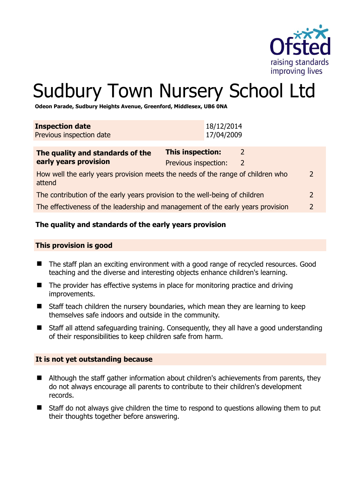

 $\overline{2}$ 

# Sudbury Town Nursery School Ltd

**Odeon Parade, Sudbury Heights Avenue, Greenford, Middlesex, UB6 0NA** 

| <b>Inspection date</b><br>Previous inspection date                                        |                                                 | 18/12/2014<br>17/04/2009 |                              |
|-------------------------------------------------------------------------------------------|-------------------------------------------------|--------------------------|------------------------------|
| The quality and standards of the<br>early years provision                                 | <b>This inspection:</b><br>Previous inspection: |                          | $\sqrt{2}$<br>$\overline{2}$ |
| How well the early years provision meets the needs of the range of children who<br>attend |                                                 |                          |                              |

The contribution of the early years provision to the well-being of children 2

The effectiveness of the leadership and management of the early years provision 2

# **The quality and standards of the early years provision**

#### **This provision is good**

- The staff plan an exciting environment with a good range of recycled resources. Good teaching and the diverse and interesting objects enhance children's learning.
- $\blacksquare$  The provider has effective systems in place for monitoring practice and driving improvements.
- Staff teach children the nursery boundaries, which mean they are learning to keep themselves safe indoors and outside in the community.
- Staff all attend safeguarding training. Consequently, they all have a good understanding of their responsibilities to keep children safe from harm.

#### **It is not yet outstanding because**

- Although the staff gather information about children's achievements from parents, they do not always encourage all parents to contribute to their children's development records.
- Staff do not always give children the time to respond to questions allowing them to put their thoughts together before answering.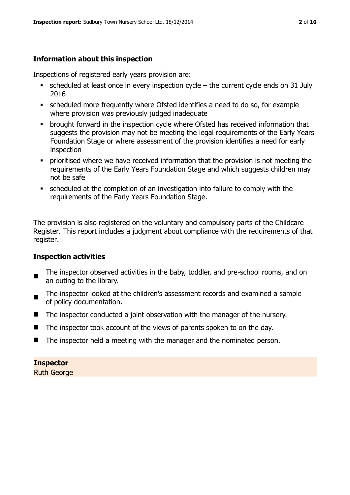# **Information about this inspection**

Inspections of registered early years provision are:

- scheduled at least once in every inspection cycle the current cycle ends on 31 July 2016
- scheduled more frequently where Ofsted identifies a need to do so, for example where provision was previously judged inadequate
- **•** brought forward in the inspection cycle where Ofsted has received information that suggests the provision may not be meeting the legal requirements of the Early Years Foundation Stage or where assessment of the provision identifies a need for early inspection
- **•** prioritised where we have received information that the provision is not meeting the requirements of the Early Years Foundation Stage and which suggests children may not be safe
- scheduled at the completion of an investigation into failure to comply with the requirements of the Early Years Foundation Stage.

The provision is also registered on the voluntary and compulsory parts of the Childcare Register. This report includes a judgment about compliance with the requirements of that register.

# **Inspection activities**

- п The inspector observed activities in the baby, toddler, and pre-school rooms, and on an outing to the library.
- The inspector looked at the children's assessment records and examined a sample of policy documentation.
- The inspector conducted a joint observation with the manager of the nursery.
- $\blacksquare$  The inspector took account of the views of parents spoken to on the day.
- $\blacksquare$  The inspector held a meeting with the manager and the nominated person.

#### **Inspector**

Ruth George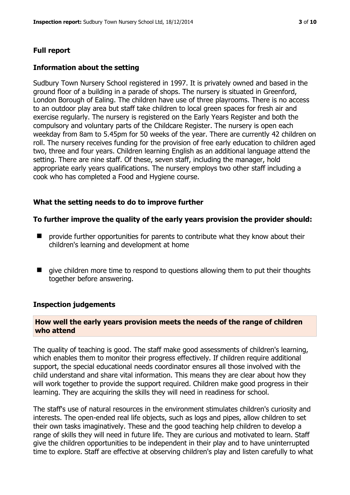# **Full report**

#### **Information about the setting**

Sudbury Town Nursery School registered in 1997. It is privately owned and based in the ground floor of a building in a parade of shops. The nursery is situated in Greenford, London Borough of Ealing. The children have use of three playrooms. There is no access to an outdoor play area but staff take children to local green spaces for fresh air and exercise regularly. The nursery is registered on the Early Years Register and both the compulsory and voluntary parts of the Childcare Register. The nursery is open each weekday from 8am to 5.45pm for 50 weeks of the year. There are currently 42 children on roll. The nursery receives funding for the provision of free early education to children aged two, three and four years. Children learning English as an additional language attend the setting. There are nine staff. Of these, seven staff, including the manager, hold appropriate early years qualifications. The nursery employs two other staff including a cook who has completed a Food and Hygiene course.

# **What the setting needs to do to improve further**

#### **To further improve the quality of the early years provision the provider should:**

- **P** provide further opportunities for parents to contribute what they know about their children's learning and development at home
- $\blacksquare$  give children more time to respond to questions allowing them to put their thoughts together before answering.

#### **Inspection judgements**

# **How well the early years provision meets the needs of the range of children who attend**

The quality of teaching is good. The staff make good assessments of children's learning, which enables them to monitor their progress effectively. If children require additional support, the special educational needs coordinator ensures all those involved with the child understand and share vital information. This means they are clear about how they will work together to provide the support required. Children make good progress in their learning. They are acquiring the skills they will need in readiness for school.

The staff's use of natural resources in the environment stimulates children's curiosity and interests. The open-ended real life objects, such as logs and pipes, allow children to set their own tasks imaginatively. These and the good teaching help children to develop a range of skills they will need in future life. They are curious and motivated to learn. Staff give the children opportunities to be independent in their play and to have uninterrupted time to explore. Staff are effective at observing children's play and listen carefully to what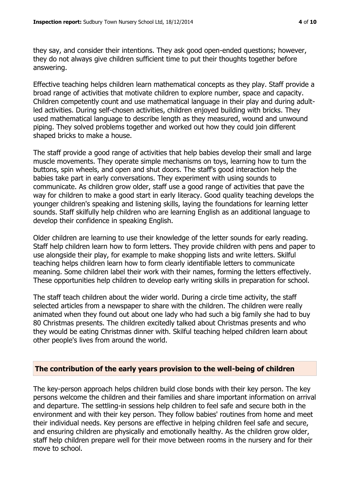they say, and consider their intentions. They ask good open-ended questions; however, they do not always give children sufficient time to put their thoughts together before answering.

Effective teaching helps children learn mathematical concepts as they play. Staff provide a broad range of activities that motivate children to explore number, space and capacity. Children competently count and use mathematical language in their play and during adultled activities. During self-chosen activities, children enjoyed building with bricks. They used mathematical language to describe length as they measured, wound and unwound piping. They solved problems together and worked out how they could join different shaped bricks to make a house.

The staff provide a good range of activities that help babies develop their small and large muscle movements. They operate simple mechanisms on toys, learning how to turn the buttons, spin wheels, and open and shut doors. The staff's good interaction help the babies take part in early conversations. They experiment with using sounds to communicate. As children grow older, staff use a good range of activities that pave the way for children to make a good start in early literacy. Good quality teaching develops the younger children's speaking and listening skills, laying the foundations for learning letter sounds. Staff skilfully help children who are learning English as an additional language to develop their confidence in speaking English.

Older children are learning to use their knowledge of the letter sounds for early reading. Staff help children learn how to form letters. They provide children with pens and paper to use alongside their play, for example to make shopping lists and write letters. Skilful teaching helps children learn how to form clearly identifiable letters to communicate meaning. Some children label their work with their names, forming the letters effectively. These opportunities help children to develop early writing skills in preparation for school.

The staff teach children about the wider world. During a circle time activity, the staff selected articles from a newspaper to share with the children. The children were really animated when they found out about one lady who had such a big family she had to buy 80 Christmas presents. The children excitedly talked about Christmas presents and who they would be eating Christmas dinner with. Skilful teaching helped children learn about other people's lives from around the world.

#### **The contribution of the early years provision to the well-being of children**

The key-person approach helps children build close bonds with their key person. The key persons welcome the children and their families and share important information on arrival and departure. The settling-in sessions help children to feel safe and secure both in the environment and with their key person. They follow babies' routines from home and meet their individual needs. Key persons are effective in helping children feel safe and secure, and ensuring children are physically and emotionally healthy. As the children grow older, staff help children prepare well for their move between rooms in the nursery and for their move to school.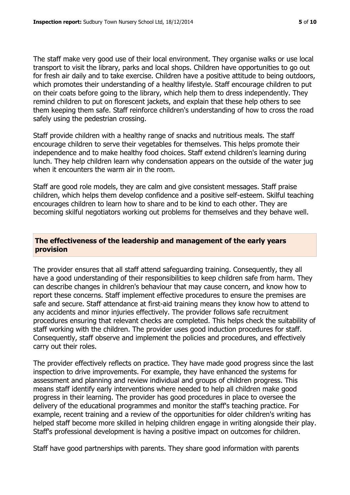The staff make very good use of their local environment. They organise walks or use local transport to visit the library, parks and local shops. Children have opportunities to go out for fresh air daily and to take exercise. Children have a positive attitude to being outdoors, which promotes their understanding of a healthy lifestyle. Staff encourage children to put on their coats before going to the library, which help them to dress independently. They remind children to put on florescent jackets, and explain that these help others to see them keeping them safe. Staff reinforce children's understanding of how to cross the road safely using the pedestrian crossing.

Staff provide children with a healthy range of snacks and nutritious meals. The staff encourage children to serve their vegetables for themselves. This helps promote their independence and to make healthy food choices. Staff extend children's learning during lunch. They help children learn why condensation appears on the outside of the water jug when it encounters the warm air in the room.

Staff are good role models, they are calm and give consistent messages. Staff praise children, which helps them develop confidence and a positive self-esteem. Skilful teaching encourages children to learn how to share and to be kind to each other. They are becoming skilful negotiators working out problems for themselves and they behave well.

# **The effectiveness of the leadership and management of the early years provision**

The provider ensures that all staff attend safeguarding training. Consequently, they all have a good understanding of their responsibilities to keep children safe from harm. They can describe changes in children's behaviour that may cause concern, and know how to report these concerns. Staff implement effective procedures to ensure the premises are safe and secure. Staff attendance at first-aid training means they know how to attend to any accidents and minor injuries effectively. The provider follows safe recruitment procedures ensuring that relevant checks are completed. This helps check the suitability of staff working with the children. The provider uses good induction procedures for staff. Consequently, staff observe and implement the policies and procedures, and effectively carry out their roles.

The provider effectively reflects on practice. They have made good progress since the last inspection to drive improvements. For example, they have enhanced the systems for assessment and planning and review individual and groups of children progress. This means staff identify early interventions where needed to help all children make good progress in their learning. The provider has good procedures in place to oversee the delivery of the educational programmes and monitor the staff's teaching practice. For example, recent training and a review of the opportunities for older children's writing has helped staff become more skilled in helping children engage in writing alongside their play. Staff's professional development is having a positive impact on outcomes for children.

Staff have good partnerships with parents. They share good information with parents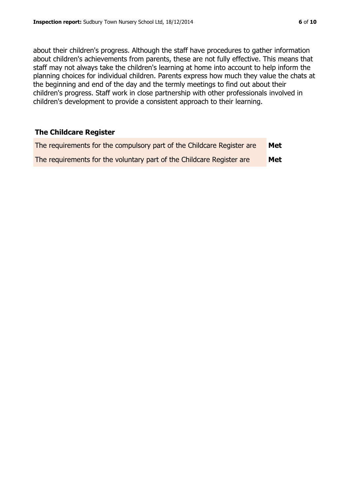about their children's progress. Although the staff have procedures to gather information about children's achievements from parents, these are not fully effective. This means that staff may not always take the children's learning at home into account to help inform the planning choices for individual children. Parents express how much they value the chats at the beginning and end of the day and the termly meetings to find out about their children's progress. Staff work in close partnership with other professionals involved in children's development to provide a consistent approach to their learning.

#### **The Childcare Register**

| The requirements for the compulsory part of the Childcare Register are | Met |
|------------------------------------------------------------------------|-----|
| The requirements for the voluntary part of the Childcare Register are  | Met |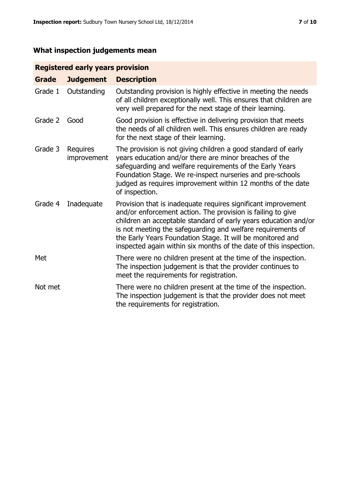# **What inspection judgements mean**

# **Registered early years provision**

| <b>Grade</b> | <b>Judgement</b>               | <b>Description</b>                                                                                                                                                                                                                                                                                                                                                                                |
|--------------|--------------------------------|---------------------------------------------------------------------------------------------------------------------------------------------------------------------------------------------------------------------------------------------------------------------------------------------------------------------------------------------------------------------------------------------------|
| Grade 1      | Outstanding                    | Outstanding provision is highly effective in meeting the needs<br>of all children exceptionally well. This ensures that children are<br>very well prepared for the next stage of their learning.                                                                                                                                                                                                  |
| Grade 2      | Good                           | Good provision is effective in delivering provision that meets<br>the needs of all children well. This ensures children are ready<br>for the next stage of their learning.                                                                                                                                                                                                                        |
| Grade 3      | <b>Requires</b><br>improvement | The provision is not giving children a good standard of early<br>years education and/or there are minor breaches of the<br>safeguarding and welfare requirements of the Early Years<br>Foundation Stage. We re-inspect nurseries and pre-schools<br>judged as requires improvement within 12 months of the date<br>of inspection.                                                                 |
| Grade 4      | Inadequate                     | Provision that is inadequate requires significant improvement<br>and/or enforcement action. The provision is failing to give<br>children an acceptable standard of early years education and/or<br>is not meeting the safeguarding and welfare requirements of<br>the Early Years Foundation Stage. It will be monitored and<br>inspected again within six months of the date of this inspection. |
| Met          |                                | There were no children present at the time of the inspection.<br>The inspection judgement is that the provider continues to<br>meet the requirements for registration.                                                                                                                                                                                                                            |
| Not met      |                                | There were no children present at the time of the inspection.<br>The inspection judgement is that the provider does not meet<br>the requirements for registration.                                                                                                                                                                                                                                |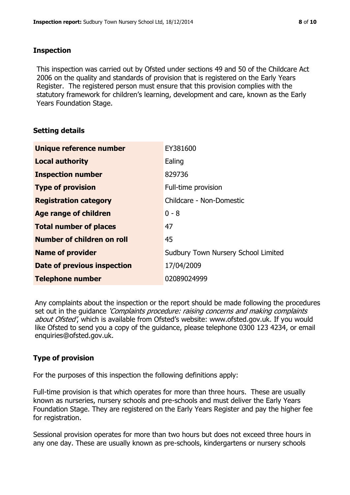#### **Inspection**

This inspection was carried out by Ofsted under sections 49 and 50 of the Childcare Act 2006 on the quality and standards of provision that is registered on the Early Years Register. The registered person must ensure that this provision complies with the statutory framework for children's learning, development and care, known as the Early Years Foundation Stage.

# **Setting details**

| Unique reference number       | EY381600                                   |
|-------------------------------|--------------------------------------------|
| <b>Local authority</b>        | Ealing                                     |
| <b>Inspection number</b>      | 829736                                     |
| <b>Type of provision</b>      | Full-time provision                        |
| <b>Registration category</b>  | Childcare - Non-Domestic                   |
| Age range of children         | $0 - 8$                                    |
| <b>Total number of places</b> | 47                                         |
| Number of children on roll    | 45                                         |
| <b>Name of provider</b>       | <b>Sudbury Town Nursery School Limited</b> |
| Date of previous inspection   | 17/04/2009                                 |
| <b>Telephone number</b>       | 02089024999                                |

Any complaints about the inspection or the report should be made following the procedures set out in the guidance *'Complaints procedure: raising concerns and making complaints* about Ofsted', which is available from Ofsted's website: www.ofsted.gov.uk. If you would like Ofsted to send you a copy of the guidance, please telephone 0300 123 4234, or email enquiries@ofsted.gov.uk.

# **Type of provision**

For the purposes of this inspection the following definitions apply:

Full-time provision is that which operates for more than three hours. These are usually known as nurseries, nursery schools and pre-schools and must deliver the Early Years Foundation Stage. They are registered on the Early Years Register and pay the higher fee for registration.

Sessional provision operates for more than two hours but does not exceed three hours in any one day. These are usually known as pre-schools, kindergartens or nursery schools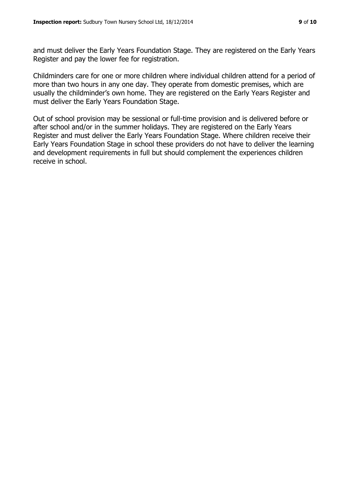and must deliver the Early Years Foundation Stage. They are registered on the Early Years Register and pay the lower fee for registration.

Childminders care for one or more children where individual children attend for a period of more than two hours in any one day. They operate from domestic premises, which are usually the childminder's own home. They are registered on the Early Years Register and must deliver the Early Years Foundation Stage.

Out of school provision may be sessional or full-time provision and is delivered before or after school and/or in the summer holidays. They are registered on the Early Years Register and must deliver the Early Years Foundation Stage. Where children receive their Early Years Foundation Stage in school these providers do not have to deliver the learning and development requirements in full but should complement the experiences children receive in school.